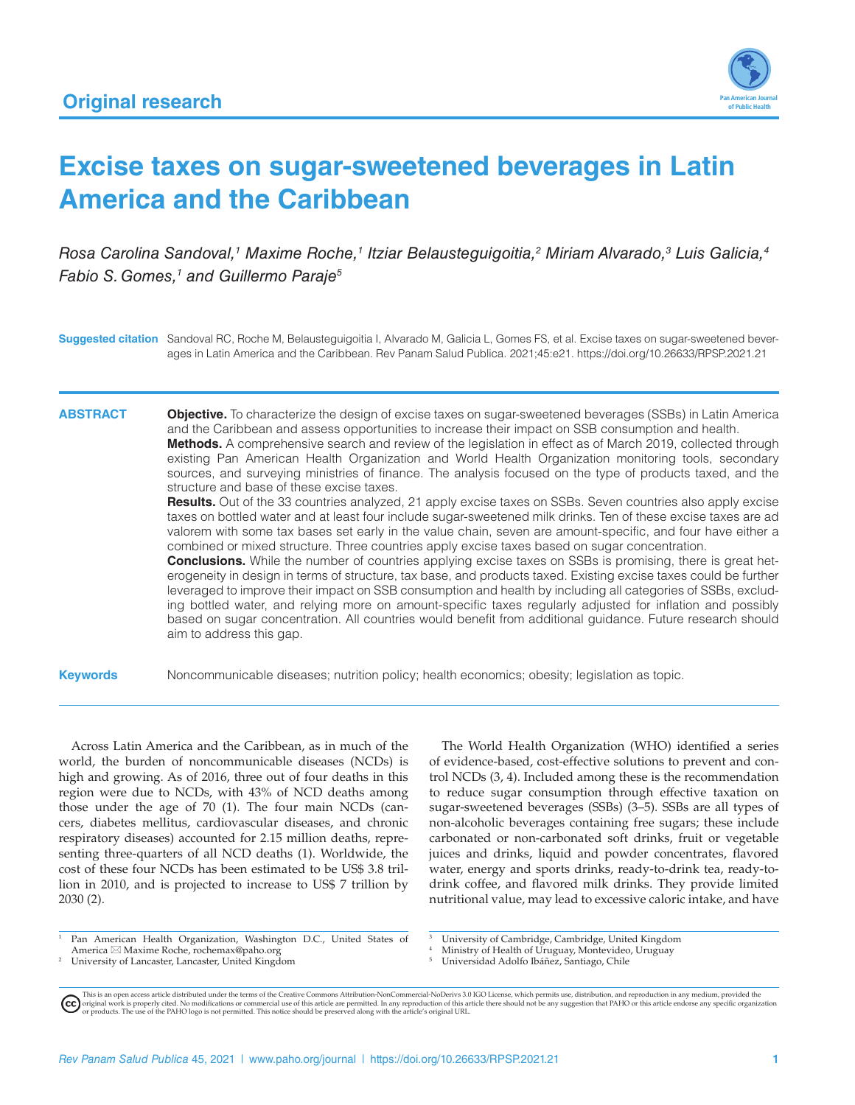

# **Excise taxes on sugar-sweetened beverages in Latin America and the Caribbean**

*Rosa Carolina Sandoval,1 Maxime Roche,1 Itziar Belausteguigoitia,2 Miriam Alvarado,3 Luis Galicia,4 Fabio S. Gomes,<sup>1</sup> and Guillermo Paraje<sup>5</sup>* 

**Suggested citation** Sandoval RC, Roche M, Belausteguigoitia I, Alvarado M, Galicia L, Gomes FS, et al. Excise taxes on sugar-sweetened beverages in Latin America and the Caribbean. Rev Panam Salud Publica. 2021;45:e21.<https://doi.org/10.26633/RPSP.2021.21>

**ABSTRACT Objective.** To characterize the design of excise taxes on sugar-sweetened beverages (SSBs) in Latin America and the Caribbean and assess opportunities to increase their impact on SSB consumption and health. **Methods.** A comprehensive search and review of the legislation in effect as of March 2019, collected through existing Pan American Health Organization and World Health Organization monitoring tools, secondary sources, and surveying ministries of finance. The analysis focused on the type of products taxed, and the

> **Results.** Out of the 33 countries analyzed, 21 apply excise taxes on SSBs. Seven countries also apply excise taxes on bottled water and at least four include sugar-sweetened milk drinks. Ten of these excise taxes are ad valorem with some tax bases set early in the value chain, seven are amount-specific, and four have either a combined or mixed structure. Three countries apply excise taxes based on sugar concentration.

> **Conclusions.** While the number of countries applying excise taxes on SSBs is promising, there is great heterogeneity in design in terms of structure, tax base, and products taxed. Existing excise taxes could be further leveraged to improve their impact on SSB consumption and health by including all categories of SSBs, excluding bottled water, and relying more on amount-specific taxes regularly adjusted for inflation and possibly based on sugar concentration. All countries would benefit from additional guidance. Future research should aim to address this gap.

**Keywords** Noncommunicable diseases; nutrition policy; health economics; obesity; legislation as topic.

Across Latin America and the Caribbean, as in much of the world, the burden of noncommunicable diseases (NCDs) is high and growing. As of 2016, three out of four deaths in this region were due to NCDs, with 43% of NCD deaths among those under the age of 70 (1). The four main NCDs (cancers, diabetes mellitus, cardiovascular diseases, and chronic respiratory diseases) accounted for 2.15 million deaths, representing three-quarters of all NCD deaths (1). Worldwide, the cost of these four NCDs has been estimated to be US\$ 3.8 trillion in 2010, and is projected to increase to US\$ 7 trillion by 2030 (2).

structure and base of these excise taxes.

The World Health Organization (WHO) identified a series of evidence-based, cost-effective solutions to prevent and control NCDs (3, 4). Included among these is the recommendation to reduce sugar consumption through effective taxation on sugar-sweetened beverages (SSBs) (3–5). SSBs are all types of non-alcoholic beverages containing free sugars; these include carbonated or non-carbonated soft drinks, fruit or vegetable juices and drinks, liquid and powder concentrates, flavored water, energy and sports drinks, ready-to-drink tea, ready-todrink coffee, and flavored milk drinks. They provide limited nutritional value, may lead to excessive caloric intake, and have

- <sup>1</sup> Pan American Health Organization, Washington D.C., United States of America \*  Maxime Roche, [rochemax@paho.org](mailto:rochemax@paho.org)
- <sup>2</sup> University of Lancaster, Lancaster, United Kingdom
- <sup>3</sup> University of Cambridge, Cambridge, United Kingdom
- <sup>4</sup> Ministry of Health of Uruguay, Montevideo, Uruguay
- <sup>5</sup> Universidad Adolfo Ibáñez, Santiago, Chile

This is an open access article distributed under the terms of the [Creative Commons Attribution-NonCommercial-NoDerivs 3.0 IGO License](https://creativecommons.org/licenses/by-nc-nd/3.0/igo/legalcode), which permits use, distribution, and reproduction in any medium, provided the<br>orignal w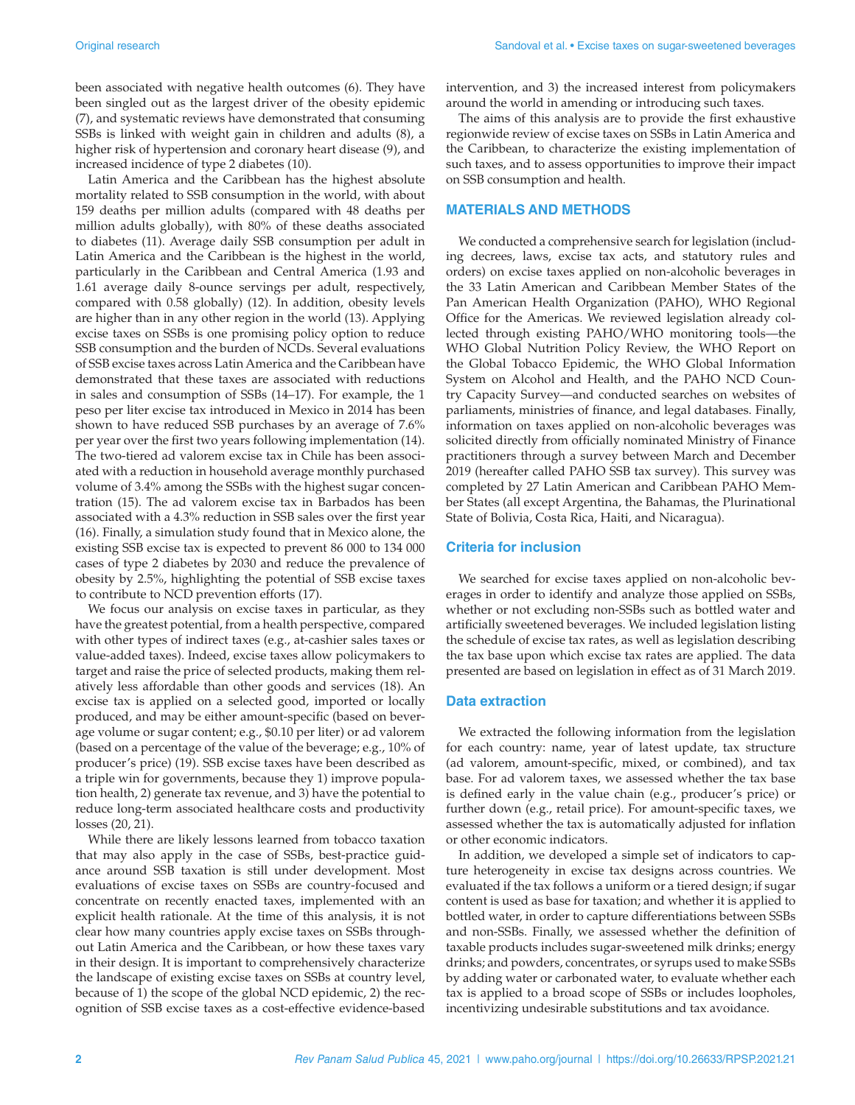been associated with negative health outcomes (6). They have been singled out as the largest driver of the obesity epidemic (7), and systematic reviews have demonstrated that consuming SSBs is linked with weight gain in children and adults (8), a higher risk of hypertension and coronary heart disease (9), and increased incidence of type 2 diabetes (10).

Latin America and the Caribbean has the highest absolute mortality related to SSB consumption in the world, with about 159 deaths per million adults (compared with 48 deaths per million adults globally), with 80% of these deaths associated to diabetes (11). Average daily SSB consumption per adult in Latin America and the Caribbean is the highest in the world, particularly in the Caribbean and Central America (1.93 and 1.61 average daily 8-ounce servings per adult, respectively, compared with 0.58 globally) (12). In addition, obesity levels are higher than in any other region in the world (13). Applying excise taxes on SSBs is one promising policy option to reduce SSB consumption and the burden of NCDs. Several evaluations of SSB excise taxes across Latin America and the Caribbean have demonstrated that these taxes are associated with reductions in sales and consumption of SSBs (14–17). For example, the 1 peso per liter excise tax introduced in Mexico in 2014 has been shown to have reduced SSB purchases by an average of 7.6% per year over the first two years following implementation (14). The two-tiered ad valorem excise tax in Chile has been associated with a reduction in household average monthly purchased volume of 3.4% among the SSBs with the highest sugar concentration (15). The ad valorem excise tax in Barbados has been associated with a 4.3% reduction in SSB sales over the first year (16). Finally, a simulation study found that in Mexico alone, the existing SSB excise tax is expected to prevent 86 000 to 134 000 cases of type 2 diabetes by 2030 and reduce the prevalence of obesity by 2.5%, highlighting the potential of SSB excise taxes to contribute to NCD prevention efforts (17).

We focus our analysis on excise taxes in particular, as they have the greatest potential, from a health perspective, compared with other types of indirect taxes (e.g., at-cashier sales taxes or value-added taxes). Indeed, excise taxes allow policymakers to target and raise the price of selected products, making them relatively less affordable than other goods and services (18). An excise tax is applied on a selected good, imported or locally produced, and may be either amount-specific (based on beverage volume or sugar content; e.g., \$0.10 per liter) or ad valorem (based on a percentage of the value of the beverage; e.g., 10% of producer's price) (19). SSB excise taxes have been described as a triple win for governments, because they 1) improve population health, 2) generate tax revenue, and 3) have the potential to reduce long-term associated healthcare costs and productivity losses (20, 21).

While there are likely lessons learned from tobacco taxation that may also apply in the case of SSBs, best-practice guidance around SSB taxation is still under development. Most evaluations of excise taxes on SSBs are country-focused and concentrate on recently enacted taxes, implemented with an explicit health rationale. At the time of this analysis, it is not clear how many countries apply excise taxes on SSBs throughout Latin America and the Caribbean, or how these taxes vary in their design. It is important to comprehensively characterize the landscape of existing excise taxes on SSBs at country level, because of 1) the scope of the global NCD epidemic, 2) the recognition of SSB excise taxes as a cost-effective evidence-based

intervention, and 3) the increased interest from policymakers around the world in amending or introducing such taxes.

The aims of this analysis are to provide the first exhaustive regionwide review of excise taxes on SSBs in Latin America and the Caribbean, to characterize the existing implementation of such taxes, and to assess opportunities to improve their impact on SSB consumption and health.

#### **MATERIALS AND METHODS**

We conducted a comprehensive search for legislation (including decrees, laws, excise tax acts, and statutory rules and orders) on excise taxes applied on non-alcoholic beverages in the 33 Latin American and Caribbean Member States of the Pan American Health Organization (PAHO), WHO Regional Office for the Americas. We reviewed legislation already collected through existing PAHO/WHO monitoring tools—the WHO Global Nutrition Policy Review, the WHO Report on the Global Tobacco Epidemic, the WHO Global Information System on Alcohol and Health, and the PAHO NCD Country Capacity Survey—and conducted searches on websites of parliaments, ministries of finance, and legal databases. Finally, information on taxes applied on non-alcoholic beverages was solicited directly from officially nominated Ministry of Finance practitioners through a survey between March and December 2019 (hereafter called PAHO SSB tax survey). This survey was completed by 27 Latin American and Caribbean PAHO Member States (all except Argentina, the Bahamas, the Plurinational State of Bolivia, Costa Rica, Haiti, and Nicaragua).

#### **Criteria for inclusion**

We searched for excise taxes applied on non-alcoholic beverages in order to identify and analyze those applied on SSBs, whether or not excluding non-SSBs such as bottled water and artificially sweetened beverages. We included legislation listing the schedule of excise tax rates, as well as legislation describing the tax base upon which excise tax rates are applied. The data presented are based on legislation in effect as of 31 March 2019.

#### **Data extraction**

We extracted the following information from the legislation for each country: name, year of latest update, tax structure (ad valorem, amount-specific, mixed, or combined), and tax base. For ad valorem taxes, we assessed whether the tax base is defined early in the value chain (e.g., producer's price) or further down (e.g., retail price). For amount-specific taxes, we assessed whether the tax is automatically adjusted for inflation or other economic indicators.

In addition, we developed a simple set of indicators to capture heterogeneity in excise tax designs across countries. We evaluated if the tax follows a uniform or a tiered design; if sugar content is used as base for taxation; and whether it is applied to bottled water, in order to capture differentiations between SSBs and non-SSBs. Finally, we assessed whether the definition of taxable products includes sugar-sweetened milk drinks; energy drinks; and powders, concentrates, or syrups used to make SSBs by adding water or carbonated water, to evaluate whether each tax is applied to a broad scope of SSBs or includes loopholes, incentivizing undesirable substitutions and tax avoidance.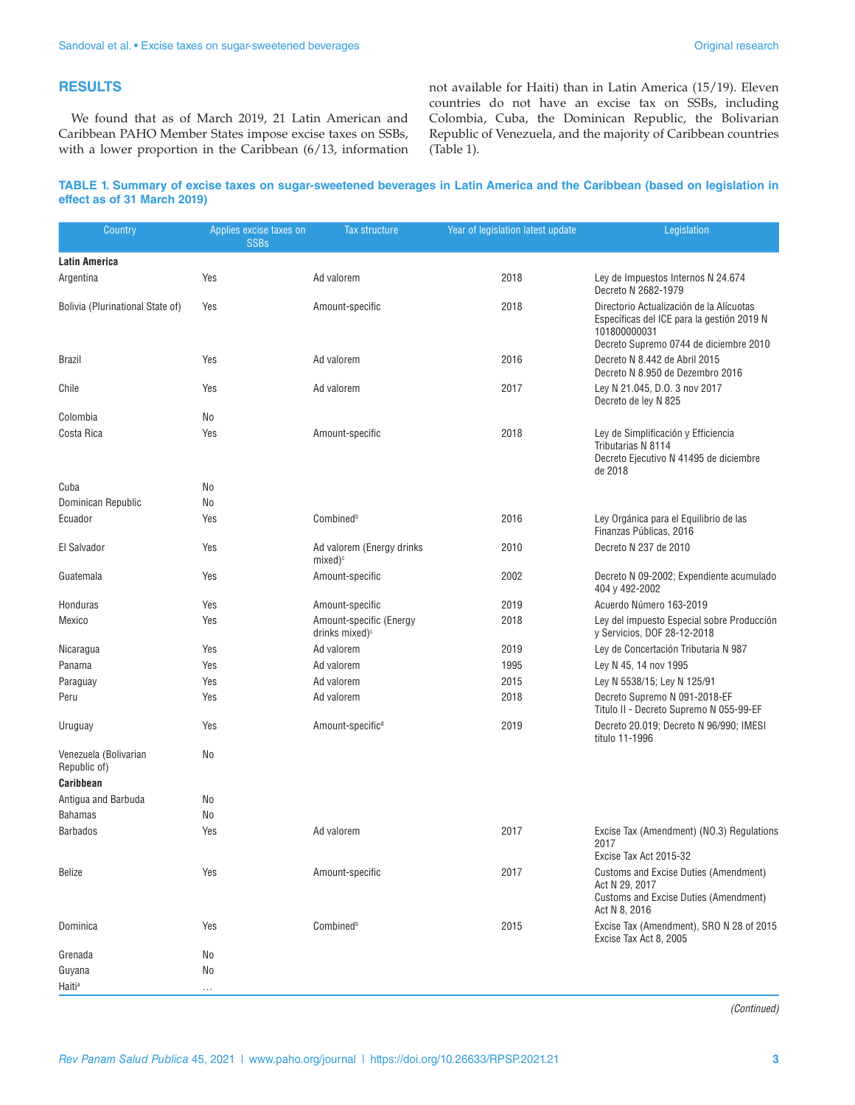### **RESULTS**

We found that as of March 2019, 21 Latin American and Caribbean PAHO Member States impose excise taxes on SSBs, with a lower proportion in the Caribbean (6/13, information not available for Haiti) than in Latin America (15/19). Eleven countries do not have an excise tax on SSBs, including Colombia, Cuba, the Dominican Republic, the Bolivarian Republic of Venezuela, and the majority of Caribbean countries (Table 1).

#### **TABLE 1. Summary of excise taxes on sugar-sweetened beverages in Latin America and the Caribbean (based on legislation in effect as of 31 March 2019)**

| Country                               | Applies excise taxes on<br><b>SSBs</b> | <b>Tax structure</b>                                  | Year of legislation latest update | Legislation                                                                                                                                      |  |
|---------------------------------------|----------------------------------------|-------------------------------------------------------|-----------------------------------|--------------------------------------------------------------------------------------------------------------------------------------------------|--|
| <b>Latin America</b>                  |                                        |                                                       |                                   |                                                                                                                                                  |  |
| Argentina                             | Yes                                    | Ad valorem                                            | 2018                              | Ley de Impuestos Internos N 24.674<br>Decreto N 2682-1979                                                                                        |  |
| Bolivia (Plurinational State of)      | Yes                                    | Amount-specific                                       | 2018                              | Directorio Actualización de la Alícuotas<br>Específicas del ICE para la gestión 2019 N<br>101800000031<br>Decreto Supremo 0744 de diciembre 2010 |  |
| <b>Brazil</b>                         | Yes                                    | Ad valorem                                            | 2016                              | Decreto N 8.442 de Abril 2015<br>Decreto N 8.950 de Dezembro 2016                                                                                |  |
| Chile                                 | Yes                                    | Ad valorem                                            | 2017                              | Ley N 21.045, D.O. 3 nov 2017<br>Decreto de ley N 825                                                                                            |  |
| Colombia                              | No                                     |                                                       |                                   |                                                                                                                                                  |  |
| Costa Rica                            | Yes                                    | Amount-specific<br>2018<br>de 2018                    |                                   | Ley de Simplificación y Efficiencia<br>Tributarias N 8114<br>Decreto Ejecutivo N 41495 de diciembre                                              |  |
| Cuba                                  | No                                     |                                                       |                                   |                                                                                                                                                  |  |
| Dominican Republic                    | No                                     |                                                       |                                   |                                                                                                                                                  |  |
| Ecuador                               | Yes                                    | Combinedb                                             | 2016                              | Ley Orgánica para el Equilibrio de las<br>Finanzas Públicas, 2016                                                                                |  |
| El Salvador                           | Yes                                    | Ad valorem (Energy drinks<br>$mixed)^c$               | 2010                              | Decreto N 237 de 2010                                                                                                                            |  |
| Guatemala                             | Yes                                    | Amount-specific                                       | 2002                              | Decreto N 09-2002; Expendiente acumulado<br>404 y 492-2002                                                                                       |  |
| Honduras                              | Yes                                    | Amount-specific                                       | 2019                              | Acuerdo Número 163-2019                                                                                                                          |  |
| Mexico                                | Yes                                    | Amount-specific (Energy<br>drinks mixed) <sup>c</sup> | 2018                              | Ley del impuesto Especial sobre Producción<br>y Servicios, DOF 28-12-2018                                                                        |  |
| Nicaragua                             | Yes                                    | Ad valorem                                            | 2019                              | Ley de Concertación Tributaria N 987                                                                                                             |  |
| Panama                                | Yes                                    | Ad valorem                                            | 1995                              | Ley N 45, 14 nov 1995                                                                                                                            |  |
| Paraguay                              | Yes                                    | Ad valorem                                            | 2015                              | Ley N 5538/15; Ley N 125/91                                                                                                                      |  |
| Peru                                  | Yes                                    | Ad valorem                                            | 2018                              | Decreto Supremo N 091-2018-EF<br>Titulo II - Decreto Supremo N 055-99-EF                                                                         |  |
| Uruguay                               | Yes                                    | Amount-specific <sup>d</sup>                          | 2019                              | Decreto 20.019; Decreto N 96/990; IMESI<br>titulo 11-1996                                                                                        |  |
| Venezuela (Bolivarian<br>Republic of) | No                                     |                                                       |                                   |                                                                                                                                                  |  |
| Caribbean                             |                                        |                                                       |                                   |                                                                                                                                                  |  |
| Antigua and Barbuda                   | No                                     |                                                       |                                   |                                                                                                                                                  |  |
| <b>Bahamas</b>                        | No                                     |                                                       |                                   |                                                                                                                                                  |  |
| <b>Barbados</b>                       | Yes                                    | Ad valorem                                            | 2017                              | Excise Tax (Amendment) (NO.3) Regulations<br>2017<br>Excise Tax Act 2015-32                                                                      |  |
| <b>Belize</b>                         | Yes                                    | Amount-specific                                       | 2017                              | <b>Customs and Excise Duties (Amendment)</b><br>Act N 29, 2017<br><b>Customs and Excise Duties (Amendment)</b><br>Act N 8, 2016                  |  |
| Dominica                              | Yes                                    | Combinedb                                             | 2015                              | Excise Tax (Amendment), SRO N 28 of 2015<br>Excise Tax Act 8, 2005                                                                               |  |
| Grenada                               | No                                     |                                                       |                                   |                                                                                                                                                  |  |
| Guyana                                | No                                     |                                                       |                                   |                                                                                                                                                  |  |
| Haiti <sup>a</sup>                    | .                                      |                                                       |                                   |                                                                                                                                                  |  |

*(Continued)*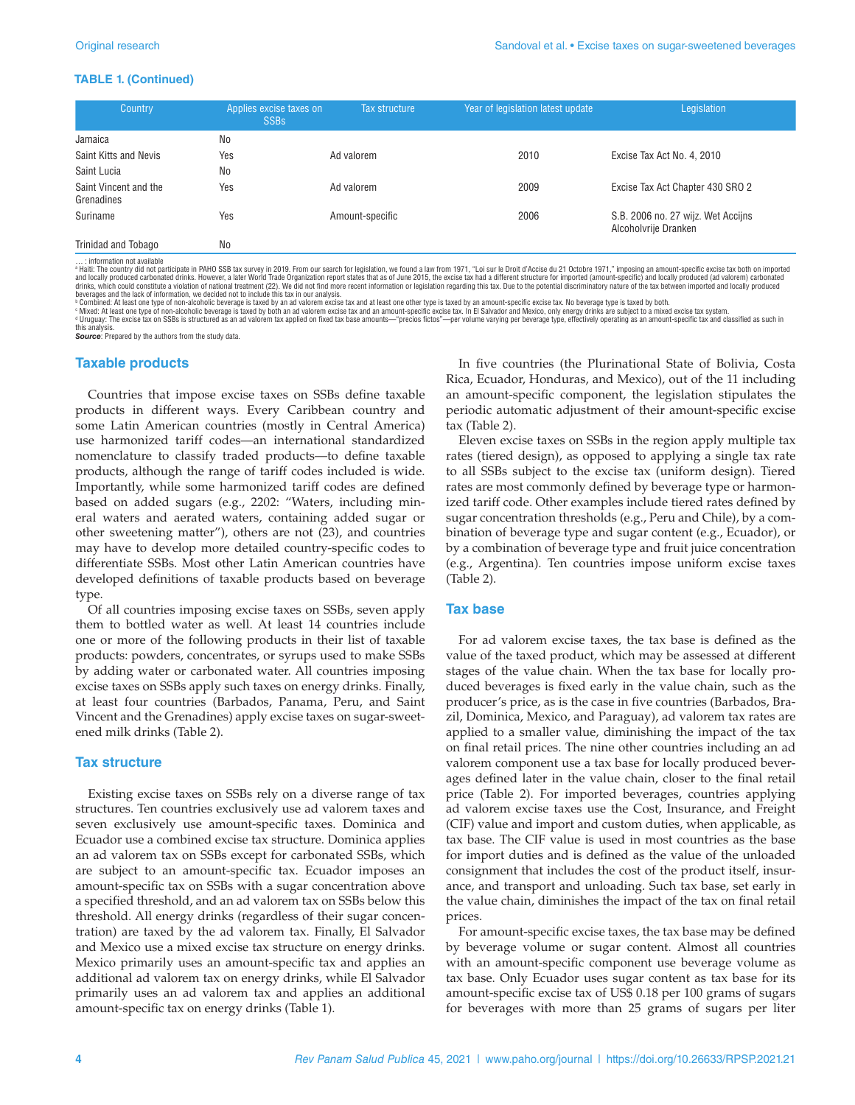#### **TABLE 1. (Continued)**

| Country                             | Applies excise taxes on<br><b>SSBs</b> | Tax structure   | Year of legislation latest update | Legislation                                                |
|-------------------------------------|----------------------------------------|-----------------|-----------------------------------|------------------------------------------------------------|
| Jamaica                             | No                                     |                 |                                   |                                                            |
| Saint Kitts and Nevis               | Yes                                    | Ad valorem      | 2010                              | Excise Tax Act No. 4, 2010                                 |
| Saint Lucia                         | No                                     |                 |                                   |                                                            |
| Saint Vincent and the<br>Grenadines | Yes                                    | Ad valorem      | 2009                              | Excise Tax Act Chapter 430 SRO 2                           |
| Suriname                            | Yes                                    | Amount-specific | 2006                              | S.B. 2006 no. 27 wijz. Wet Accijns<br>Alcoholvrije Dranken |
| Trinidad and Tobago                 | No                                     |                 |                                   |                                                            |

… : information not available<br>\* Haiti: The country did not participate in PAHO SSB tax survey in 2019. From our search for legislation, we found a law from 1971, "Loi sur le Droit d'Accise du 21 Octobre 1971," imposing an drinks, which could constitute a violation of national treatment (22). We did not find more recent information or legislation regarding this tax. Due to the potential discriminatory nature of the tax between imported and l

«Mixed: At least one type of non-alcoholic beverage is taxed by both an ad valorem excise tax and an amount-specific excise tax. In El Salvador and Mexico, only energy drinks are subject to a mixed excise tax system.<br>«Urug

this analysis. *Source*: Prepared by the authors from the study data.

#### **Taxable products**

Countries that impose excise taxes on SSBs define taxable products in different ways. Every Caribbean country and some Latin American countries (mostly in Central America) use harmonized tariff codes—an international standardized nomenclature to classify traded products—to define taxable products, although the range of tariff codes included is wide. Importantly, while some harmonized tariff codes are defined based on added sugars (e.g., 2202: "Waters, including mineral waters and aerated waters, containing added sugar or other sweetening matter"), others are not (23), and countries may have to develop more detailed country-specific codes to differentiate SSBs. Most other Latin American countries have developed definitions of taxable products based on beverage type.

Of all countries imposing excise taxes on SSBs, seven apply them to bottled water as well. At least 14 countries include one or more of the following products in their list of taxable products: powders, concentrates, or syrups used to make SSBs by adding water or carbonated water. All countries imposing excise taxes on SSBs apply such taxes on energy drinks. Finally, at least four countries (Barbados, Panama, Peru, and Saint Vincent and the Grenadines) apply excise taxes on sugar-sweetened milk drinks (Table 2).

#### **Tax structure**

Existing excise taxes on SSBs rely on a diverse range of tax structures. Ten countries exclusively use ad valorem taxes and seven exclusively use amount-specific taxes. Dominica and Ecuador use a combined excise tax structure. Dominica applies an ad valorem tax on SSBs except for carbonated SSBs, which are subject to an amount-specific tax. Ecuador imposes an amount-specific tax on SSBs with a sugar concentration above a specified threshold, and an ad valorem tax on SSBs below this threshold. All energy drinks (regardless of their sugar concentration) are taxed by the ad valorem tax. Finally, El Salvador and Mexico use a mixed excise tax structure on energy drinks. Mexico primarily uses an amount-specific tax and applies an additional ad valorem tax on energy drinks, while El Salvador primarily uses an ad valorem tax and applies an additional amount-specific tax on energy drinks (Table 1).

In five countries (the Plurinational State of Bolivia, Costa Rica, Ecuador, Honduras, and Mexico), out of the 11 including an amount-specific component, the legislation stipulates the periodic automatic adjustment of their amount-specific excise tax (Table 2).

Eleven excise taxes on SSBs in the region apply multiple tax rates (tiered design), as opposed to applying a single tax rate to all SSBs subject to the excise tax (uniform design). Tiered rates are most commonly defined by beverage type or harmonized tariff code. Other examples include tiered rates defined by sugar concentration thresholds (e.g., Peru and Chile), by a combination of beverage type and sugar content (e.g., Ecuador), or by a combination of beverage type and fruit juice concentration (e.g., Argentina). Ten countries impose uniform excise taxes (Table 2).

#### **Tax base**

For ad valorem excise taxes, the tax base is defined as the value of the taxed product, which may be assessed at different stages of the value chain. When the tax base for locally produced beverages is fixed early in the value chain, such as the producer's price, as is the case in five countries (Barbados, Brazil, Dominica, Mexico, and Paraguay), ad valorem tax rates are applied to a smaller value, diminishing the impact of the tax on final retail prices. The nine other countries including an ad valorem component use a tax base for locally produced beverages defined later in the value chain, closer to the final retail price (Table 2). For imported beverages, countries applying ad valorem excise taxes use the Cost, Insurance, and Freight (CIF) value and import and custom duties, when applicable, as tax base. The CIF value is used in most countries as the base for import duties and is defined as the value of the unloaded consignment that includes the cost of the product itself, insurance, and transport and unloading. Such tax base, set early in the value chain, diminishes the impact of the tax on final retail prices.

For amount-specific excise taxes, the tax base may be defined by beverage volume or sugar content. Almost all countries with an amount-specific component use beverage volume as tax base. Only Ecuador uses sugar content as tax base for its amount-specific excise tax of US\$ 0.18 per 100 grams of sugars for beverages with more than 25 grams of sugars per liter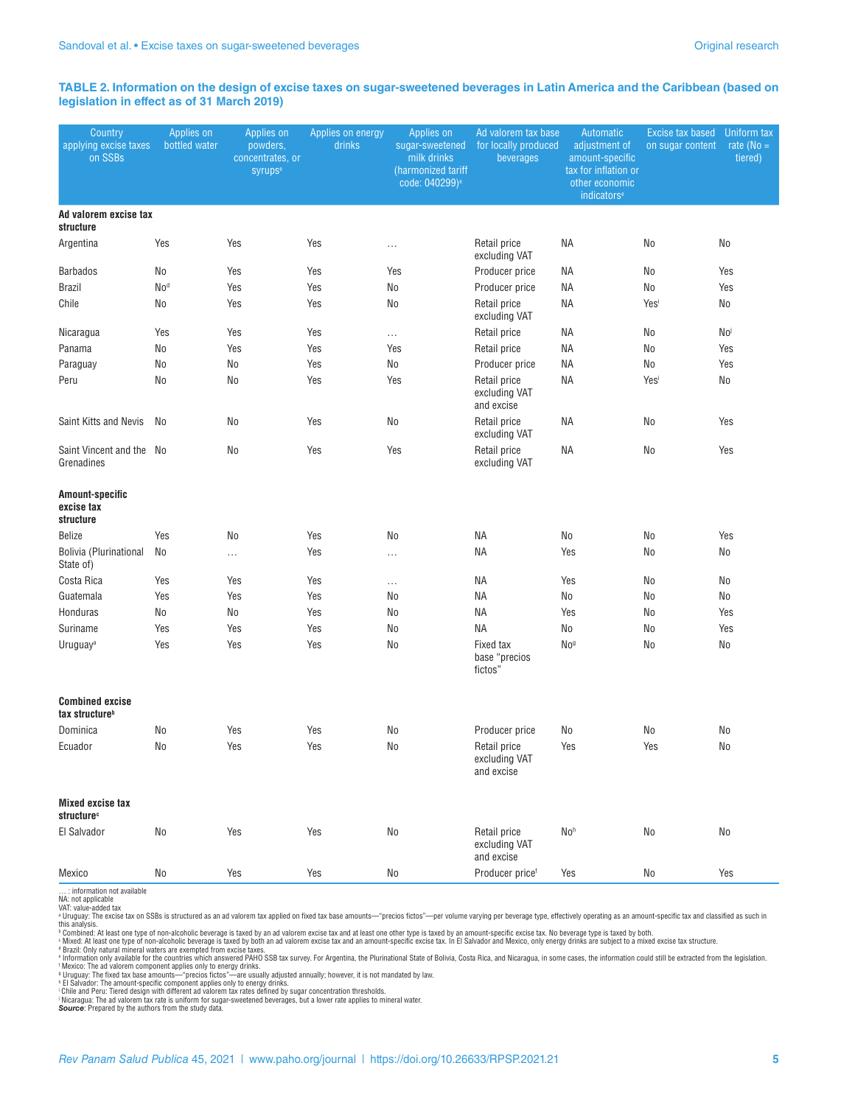#### **TABLE 2. Information on the design of excise taxes on sugar-sweetened beverages in Latin America and the Caribbean (based on legislation in effect as of 31 March 2019)**

| Country<br>applying excise taxes<br>on SSBs          | Applies on<br>bottled water | Applies on<br>powders,<br>concentrates, or<br><b>syrups<sup>e</sup></b> | Applies on energy<br>drinks | Applies on<br>sugar-sweetened<br>milk drinks<br>(harmonized tariff<br>code: 040299) <sup>e</sup> | Ad valorem tax base<br>for locally produced<br>beverages | Automatic<br>adjustment of<br>amount-specific<br>tax for inflation or<br>other economic<br>indicators <sup>e</sup> | <b>Excise tax based</b><br>on sugar content | Uniform tax<br>rate ( $No =$<br>tiered) |
|------------------------------------------------------|-----------------------------|-------------------------------------------------------------------------|-----------------------------|--------------------------------------------------------------------------------------------------|----------------------------------------------------------|--------------------------------------------------------------------------------------------------------------------|---------------------------------------------|-----------------------------------------|
| Ad valorem excise tax<br>structure                   |                             |                                                                         |                             |                                                                                                  |                                                          |                                                                                                                    |                                             |                                         |
| Argentina                                            | Yes                         | Yes                                                                     | Yes                         | $\cdots$                                                                                         | Retail price<br>excluding VAT                            | <b>NA</b>                                                                                                          | No                                          | No                                      |
| <b>Barbados</b>                                      | No                          | Yes                                                                     | Yes                         | Yes                                                                                              | Producer price                                           | ΝA                                                                                                                 | No                                          | Yes                                     |
| <b>Brazil</b>                                        | No <sup>d</sup>             | Yes                                                                     | Yes                         | No                                                                                               | Producer price                                           | <b>NA</b>                                                                                                          | No                                          | Yes                                     |
| Chile                                                | No                          | Yes                                                                     | Yes                         | No                                                                                               | Retail price<br>excluding VAT                            | NA                                                                                                                 | Yesi                                        | No                                      |
| Nicaragua                                            | Yes                         | Yes                                                                     | Yes                         | $\ldots$                                                                                         | Retail price                                             | <b>NA</b>                                                                                                          | No                                          | No                                      |
| Panama                                               | No                          | Yes                                                                     | Yes                         | Yes                                                                                              | Retail price                                             | ΝA                                                                                                                 | No                                          | Yes                                     |
| Paraguay                                             | No                          | No                                                                      | Yes                         | No                                                                                               | Producer price                                           | ΝA                                                                                                                 | No                                          | Yes                                     |
| Peru                                                 | No                          | No                                                                      | Yes                         | Yes                                                                                              | Retail price<br>excluding VAT<br>and excise              | ΝA                                                                                                                 | Yesi                                        | No                                      |
| Saint Kitts and Nevis                                | No                          | No                                                                      | Yes                         | No                                                                                               | Retail price<br>excluding VAT                            | ΝA                                                                                                                 | No                                          | Yes                                     |
| Saint Vincent and the No<br>Grenadines               |                             | No                                                                      | Yes                         | Yes                                                                                              | Retail price<br>excluding VAT                            | ΝA                                                                                                                 | No                                          | Yes                                     |
| Amount-specific<br>excise tax<br>structure           |                             |                                                                         |                             |                                                                                                  |                                                          |                                                                                                                    |                                             |                                         |
| Belize                                               | Yes                         | No                                                                      | Yes                         | No                                                                                               | ΝA                                                       | No                                                                                                                 | No                                          | Yes                                     |
| Bolivia (Plurinational<br>State of)                  | No                          |                                                                         | Yes                         | $\ldots$                                                                                         | ΝA                                                       | Yes                                                                                                                | No                                          | No                                      |
| Costa Rica                                           | Yes                         | Yes                                                                     | Yes                         | $\ldots$                                                                                         | ΝA                                                       | Yes                                                                                                                | No                                          | No                                      |
| Guatemala                                            | Yes                         | Yes                                                                     | Yes                         | No                                                                                               | <b>NA</b>                                                | No                                                                                                                 | No                                          | No                                      |
| Honduras                                             | No                          | No                                                                      | Yes                         | No                                                                                               | <b>NA</b>                                                | Yes                                                                                                                | No                                          | Yes                                     |
| Suriname                                             | Yes                         | Yes                                                                     | Yes                         | No                                                                                               | <b>NA</b>                                                | No                                                                                                                 | No                                          | Yes                                     |
| Uruguay <sup>a</sup>                                 | Yes                         | Yes                                                                     | Yes                         | No                                                                                               | Fixed tax<br>base "precios<br>fictos"                    | No <sup>g</sup>                                                                                                    | No                                          | No                                      |
| <b>Combined excise</b><br>tax structure <sup>b</sup> |                             |                                                                         |                             |                                                                                                  |                                                          |                                                                                                                    |                                             |                                         |
| Dominica                                             | No                          | Yes                                                                     | Yes                         | No                                                                                               | Producer price                                           | No                                                                                                                 | No                                          | No                                      |
| Ecuador                                              | $\rm No$                    | Yes                                                                     | Yes                         | $\rm No$                                                                                         | Retail price<br>excluding VAT<br>and excise              | Yes                                                                                                                | Yes                                         | $\rm No$                                |
| <b>Mixed excise tax</b><br>structure <sup>c</sup>    |                             |                                                                         |                             |                                                                                                  |                                                          |                                                                                                                    |                                             |                                         |
| El Salvador                                          | No                          | Yes                                                                     | Yes                         | No                                                                                               | Retail price<br>excluding VAT<br>and excise              | No <sup>h</sup>                                                                                                    | No                                          | $\rm No$                                |
| Mexico                                               | No                          | Yes                                                                     | Yes                         | No                                                                                               | Producer price <sup>®</sup>                              | Yes                                                                                                                | No                                          | Yes                                     |

… : information not available NA: not applicable

VAT: value-added tax<br>we-added tax<br>in scales the excise tax on SSBs is structured as an ad valorem tax applied on fixed tax base amounts—"precios fictos"—per volume varying per beverage type, effectively operating as an amo

Nicaragua: The ad valorem tax rate is uniform for sugar-sweetened beverages, but a lower rate applies to mineral water.

**Source**: Prepared by the authors from the study data.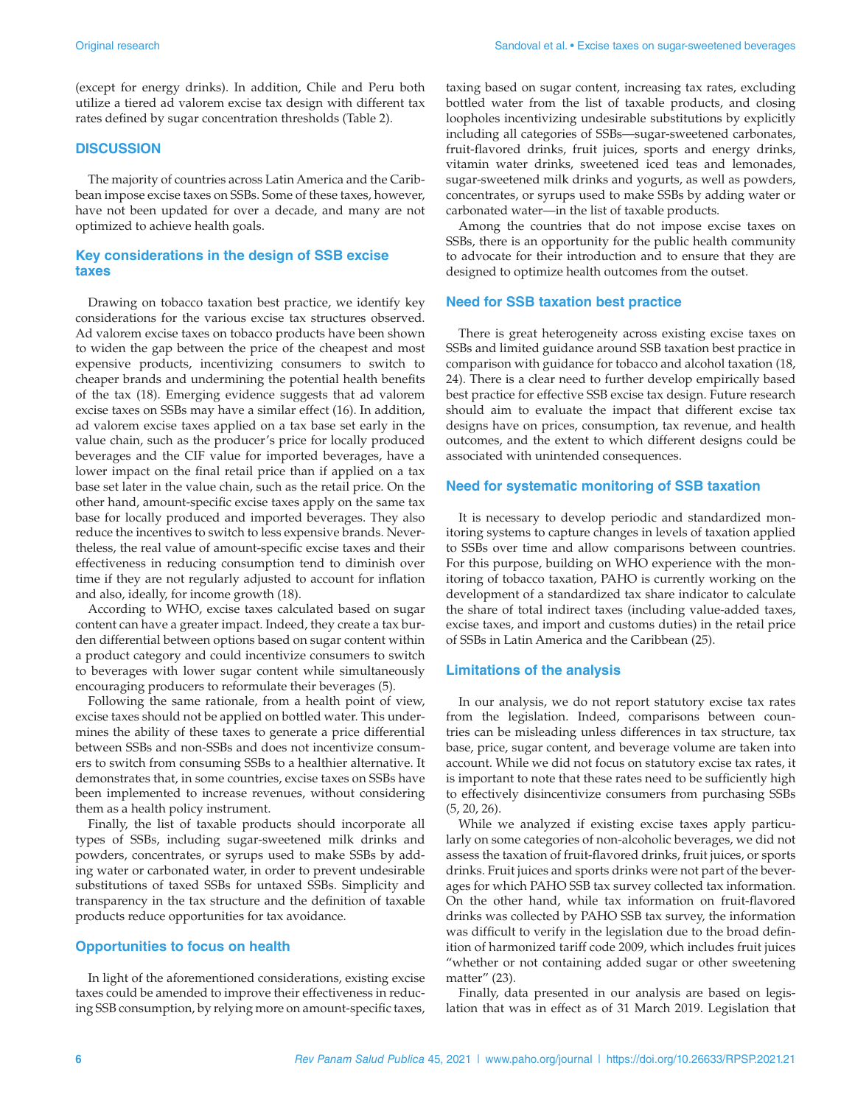(except for energy drinks). In addition, Chile and Peru both utilize a tiered ad valorem excise tax design with different tax rates defined by sugar concentration thresholds (Table 2).

#### **DISCUSSION**

The majority of countries across Latin America and the Caribbean impose excise taxes on SSBs. Some of these taxes, however, have not been updated for over a decade, and many are not optimized to achieve health goals.

#### **Key considerations in the design of SSB excise taxes**

Drawing on tobacco taxation best practice, we identify key considerations for the various excise tax structures observed. Ad valorem excise taxes on tobacco products have been shown to widen the gap between the price of the cheapest and most expensive products, incentivizing consumers to switch to cheaper brands and undermining the potential health benefits of the tax (18). Emerging evidence suggests that ad valorem excise taxes on SSBs may have a similar effect (16). In addition, ad valorem excise taxes applied on a tax base set early in the value chain, such as the producer's price for locally produced beverages and the CIF value for imported beverages, have a lower impact on the final retail price than if applied on a tax base set later in the value chain, such as the retail price. On the other hand, amount-specific excise taxes apply on the same tax base for locally produced and imported beverages. They also reduce the incentives to switch to less expensive brands. Nevertheless, the real value of amount-specific excise taxes and their effectiveness in reducing consumption tend to diminish over time if they are not regularly adjusted to account for inflation and also, ideally, for income growth (18).

According to WHO, excise taxes calculated based on sugar content can have a greater impact. Indeed, they create a tax burden differential between options based on sugar content within a product category and could incentivize consumers to switch to beverages with lower sugar content while simultaneously encouraging producers to reformulate their beverages (5).

Following the same rationale, from a health point of view, excise taxes should not be applied on bottled water. This undermines the ability of these taxes to generate a price differential between SSBs and non-SSBs and does not incentivize consumers to switch from consuming SSBs to a healthier alternative. It demonstrates that, in some countries, excise taxes on SSBs have been implemented to increase revenues, without considering them as a health policy instrument.

Finally, the list of taxable products should incorporate all types of SSBs, including sugar-sweetened milk drinks and powders, concentrates, or syrups used to make SSBs by adding water or carbonated water, in order to prevent undesirable substitutions of taxed SSBs for untaxed SSBs. Simplicity and transparency in the tax structure and the definition of taxable products reduce opportunities for tax avoidance.

### **Opportunities to focus on health**

In light of the aforementioned considerations, existing excise taxes could be amended to improve their effectiveness in reducing SSB consumption, by relying more on amount-specific taxes,

taxing based on sugar content, increasing tax rates, excluding bottled water from the list of taxable products, and closing loopholes incentivizing undesirable substitutions by explicitly including all categories of SSBs—sugar-sweetened carbonates, fruit-flavored drinks, fruit juices, sports and energy drinks, vitamin water drinks, sweetened iced teas and lemonades, sugar-sweetened milk drinks and yogurts, as well as powders, concentrates, or syrups used to make SSBs by adding water or carbonated water—in the list of taxable products.

Among the countries that do not impose excise taxes on SSBs, there is an opportunity for the public health community to advocate for their introduction and to ensure that they are designed to optimize health outcomes from the outset.

#### **Need for SSB taxation best practice**

There is great heterogeneity across existing excise taxes on SSBs and limited guidance around SSB taxation best practice in comparison with guidance for tobacco and alcohol taxation (18, 24). There is a clear need to further develop empirically based best practice for effective SSB excise tax design. Future research should aim to evaluate the impact that different excise tax designs have on prices, consumption, tax revenue, and health outcomes, and the extent to which different designs could be associated with unintended consequences.

#### **Need for systematic monitoring of SSB taxation**

It is necessary to develop periodic and standardized monitoring systems to capture changes in levels of taxation applied to SSBs over time and allow comparisons between countries. For this purpose, building on WHO experience with the monitoring of tobacco taxation, PAHO is currently working on the development of a standardized tax share indicator to calculate the share of total indirect taxes (including value-added taxes, excise taxes, and import and customs duties) in the retail price of SSBs in Latin America and the Caribbean (25).

#### **Limitations of the analysis**

In our analysis, we do not report statutory excise tax rates from the legislation. Indeed, comparisons between countries can be misleading unless differences in tax structure, tax base, price, sugar content, and beverage volume are taken into account. While we did not focus on statutory excise tax rates, it is important to note that these rates need to be sufficiently high to effectively disincentivize consumers from purchasing SSBs (5, 20, 26).

While we analyzed if existing excise taxes apply particularly on some categories of non-alcoholic beverages, we did not assess the taxation of fruit-flavored drinks, fruit juices, or sports drinks. Fruit juices and sports drinks were not part of the beverages for which PAHO SSB tax survey collected tax information. On the other hand, while tax information on fruit-flavored drinks was collected by PAHO SSB tax survey, the information was difficult to verify in the legislation due to the broad definition of harmonized tariff code 2009, which includes fruit juices "whether or not containing added sugar or other sweetening matter" (23).

Finally, data presented in our analysis are based on legislation that was in effect as of 31 March 2019. Legislation that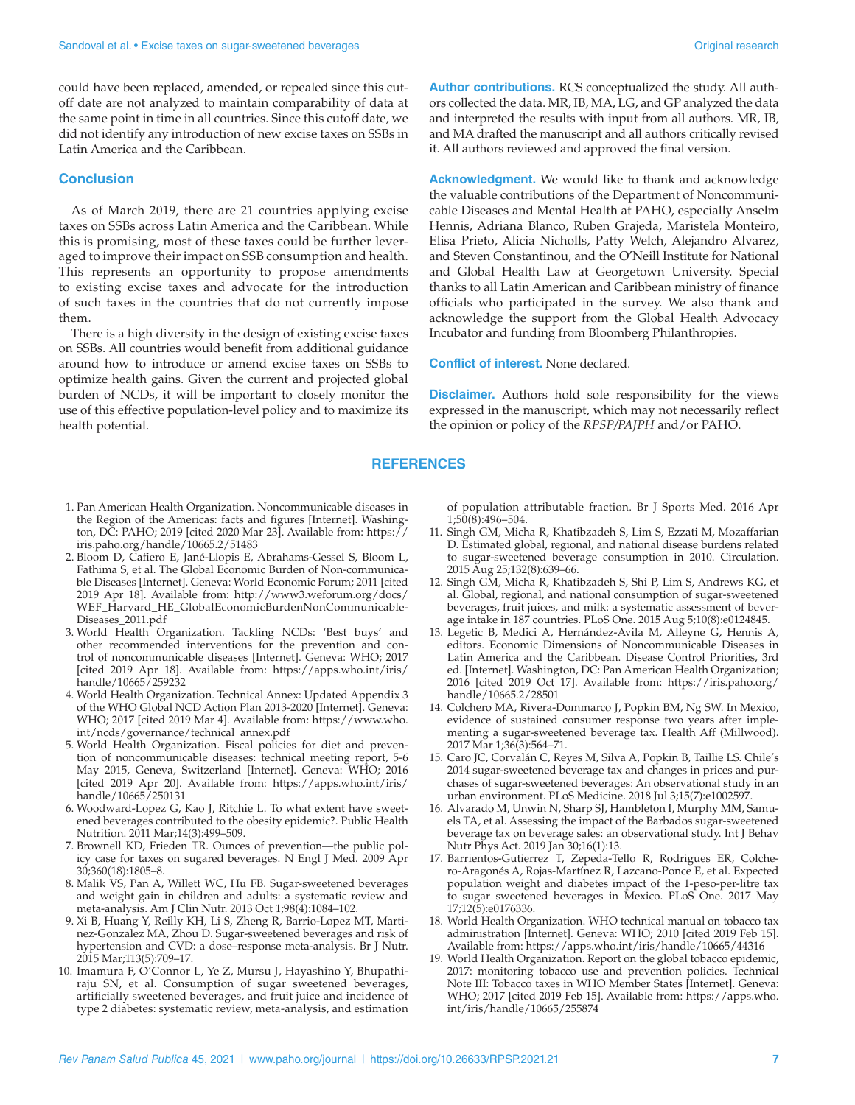could have been replaced, amended, or repealed since this cutoff date are not analyzed to maintain comparability of data at the same point in time in all countries. Since this cutoff date, we did not identify any introduction of new excise taxes on SSBs in Latin America and the Caribbean.

#### **Conclusion**

As of March 2019, there are 21 countries applying excise taxes on SSBs across Latin America and the Caribbean. While this is promising, most of these taxes could be further leveraged to improve their impact on SSB consumption and health. This represents an opportunity to propose amendments to existing excise taxes and advocate for the introduction of such taxes in the countries that do not currently impose them.

There is a high diversity in the design of existing excise taxes on SSBs. All countries would benefit from additional guidance around how to introduce or amend excise taxes on SSBs to optimize health gains. Given the current and projected global burden of NCDs, it will be important to closely monitor the use of this effective population-level policy and to maximize its health potential.

- 1. Pan American Health Organization. Noncommunicable diseases in the Region of the Americas: facts and figures [Internet]. Washington, DC: PAHO; 2019 [cited 2020 Mar 23]. Available from: [https://](https://iris.paho.org/handle/10665.2/51483) [iris.paho.org/handle/10665.2/51483](https://iris.paho.org/handle/10665.2/51483)
- 2. Bloom D, Cafiero E, Jané-Llopis E, Abrahams-Gessel S, Bloom L, Fathima S, et al. The Global Economic Burden of Non-communicable Diseases [Internet]. Geneva: World Economic Forum; 2011 [cited 2019 Apr 18]. Available from: [http://www3.weforum.org/docs/](http://www3.weforum.org/docs/WEF_Harvard_HE_GlobalEconomicBurdenNonCommunicableDiseases_2011.pdf) [WEF\\_Harvard\\_HE\\_GlobalEconomicBurdenNonCommunicable-](http://www3.weforum.org/docs/WEF_Harvard_HE_GlobalEconomicBurdenNonCommunicableDiseases_2011.pdf)[Diseases\\_2011.pdf](http://www3.weforum.org/docs/WEF_Harvard_HE_GlobalEconomicBurdenNonCommunicableDiseases_2011.pdf)
- 3. World Health Organization. Tackling NCDs: 'Best buys' and other recommended interventions for the prevention and control of noncommunicable diseases [Internet]. Geneva: WHO; 2017 [cited 2019 Apr 18]. Available from: [https://apps.who.int/iris/](https://apps.who.int/iris/handle/10665/259232) [handle/10665/259232](https://apps.who.int/iris/handle/10665/259232)
- 4. World Health Organization. Technical Annex: Updated Appendix 3 of the WHO Global NCD Action Plan 2013-2020 [Internet]. Geneva: WHO; 2017 [cited 2019 Mar 4]. Available from: [https://www.who.](https://www.who.int/ncds/governance/technical_annex.pdf) [int/ncds/governance/technical\\_annex.pdf](https://www.who.int/ncds/governance/technical_annex.pdf)
- 5. World Health Organization. Fiscal policies for diet and prevention of noncommunicable diseases: technical meeting report, 5-6 May 2015, Geneva, Switzerland [Internet]. Geneva: WHO; 2016 [cited 2019 Apr 20]. Available from: [https://apps.who.int/iris/](https://apps.who.int/iris/handle/10665/250131) [handle/10665/250131](https://apps.who.int/iris/handle/10665/250131)
- 6. Woodward-Lopez G, Kao J, Ritchie L. To what extent have sweetened beverages contributed to the obesity epidemic?. Public Health Nutrition. 2011 Mar;14(3):499–509.
- 7. Brownell KD, Frieden TR. Ounces of prevention—the public policy case for taxes on sugared beverages. N Engl J Med. 2009 Apr 30;360(18):1805–8.
- 8. Malik VS, Pan A, Willett WC, Hu FB. Sugar-sweetened beverages and weight gain in children and adults: a systematic review and meta-analysis. Am J Clin Nutr. 2013 Oct 1;98(4):1084–102.
- 9. Xi B, Huang Y, Reilly KH, Li S, Zheng R, Barrio-Lopez MT, Martinez-Gonzalez MA, Zhou D. Sugar-sweetened beverages and risk of hypertension and CVD: a dose–response meta-analysis. Br J Nutr. 2015 Mar;113(5):709–17.
- 10. Imamura F, O'Connor L, Ye Z, Mursu J, Hayashino Y, Bhupathiraju SN, et al. Consumption of sugar sweetened beverages, artificially sweetened beverages, and fruit juice and incidence of type 2 diabetes: systematic review, meta-analysis, and estimation

**Author contributions.** RCS conceptualized the study. All authors collected the data. MR, IB, MA, LG, and GP analyzed the data and interpreted the results with input from all authors. MR, IB, and MA drafted the manuscript and all authors critically revised it. All authors reviewed and approved the final version.

**Acknowledgment.** We would like to thank and acknowledge the valuable contributions of the Department of Noncommunicable Diseases and Mental Health at PAHO, especially Anselm Hennis, Adriana Blanco, Ruben Grajeda, Maristela Monteiro, Elisa Prieto, Alicia Nicholls, Patty Welch, Alejandro Alvarez, and Steven Constantinou, and the O'Neill Institute for National and Global Health Law at Georgetown University. Special thanks to all Latin American and Caribbean ministry of finance officials who participated in the survey. We also thank and acknowledge the support from the Global Health Advocacy Incubator and funding from Bloomberg Philanthropies.

#### **Conflict of interest.** None declared.

**Disclaimer.** Authors hold sole responsibility for the views expressed in the manuscript, which may not necessarily reflect the opinion or policy of the *RPSP/PAJPH* and/or PAHO.

#### **REFERENCES**

of population attributable fraction. Br J Sports Med. 2016 Apr  $1;50(8):496-504.$ 

- 11. Singh GM, Micha R, Khatibzadeh S, Lim S, Ezzati M, Mozaffarian D. Estimated global, regional, and national disease burdens related to sugar-sweetened beverage consumption in 2010. Circulation. 2015 Aug 25;132(8):639–66.
- 12. Singh GM, Micha R, Khatibzadeh S, Shi P, Lim S, Andrews KG, et al. Global, regional, and national consumption of sugar-sweetened beverages, fruit juices, and milk: a systematic assessment of beverage intake in 187 countries. PLoS One. 2015 Aug 5;10(8):e0124845.
- 13. Legetic B, Medici A, Hernández-Avila M, Alleyne G, Hennis A, editors. Economic Dimensions of Noncommunicable Diseases in Latin America and the Caribbean. Disease Control Priorities, 3rd ed. [Internet]. Washington, DC: Pan American Health Organization; 2016 [cited 2019 Oct 17]. Available from: [https://iris.paho.org/](https://iris.paho.org/handle/10665.2/28501) [handle/10665.2/28501](https://iris.paho.org/handle/10665.2/28501)
- 14. Colchero MA, Rivera-Dommarco J, Popkin BM, Ng SW. In Mexico, evidence of sustained consumer response two years after implementing a sugar-sweetened beverage tax. Health Aff (Millwood). 2017 Mar 1;36(3):564–71.
- 15. Caro JC, Corvalán C, Reyes M, Silva A, Popkin B, Taillie LS. Chile's 2014 sugar-sweetened beverage tax and changes in prices and purchases of sugar-sweetened beverages: An observational study in an urban environment. PLoS Medicine. 2018 Jul 3;15(7):e1002597.
- 16. Alvarado M, Unwin N, Sharp SJ, Hambleton I, Murphy MM, Samuels TA, et al. Assessing the impact of the Barbados sugar-sweetened beverage tax on beverage sales: an observational study. Int J Behav Nutr Phys Act. 2019 Jan 30;16(1):13.
- 17. Barrientos-Gutierrez T, Zepeda-Tello R, Rodrigues ER, Colchero-Aragonés A, Rojas-Martínez R, Lazcano-Ponce E, et al. Expected population weight and diabetes impact of the 1-peso-per-litre tax to sugar sweetened beverages in Mexico. PLoS One. 2017 May 17;12(5):e0176336.
- 18. World Health Organization. WHO technical manual on tobacco tax administration [Internet]. Geneva: WHO; 2010 [cited 2019 Feb 15]. Available from: <https://apps.who.int/iris/handle/10665/44316>
- 19. World Health Organization. Report on the global tobacco epidemic, 2017: monitoring tobacco use and prevention policies. Technical Note III: Tobacco taxes in WHO Member States [Internet]. Geneva: WHO; 2017 [cited 2019 Feb 15]. Available from: [https://apps.who.](https://apps.who.int/iris/handle/10665/255874) [int/iris/handle/10665/255874](https://apps.who.int/iris/handle/10665/255874)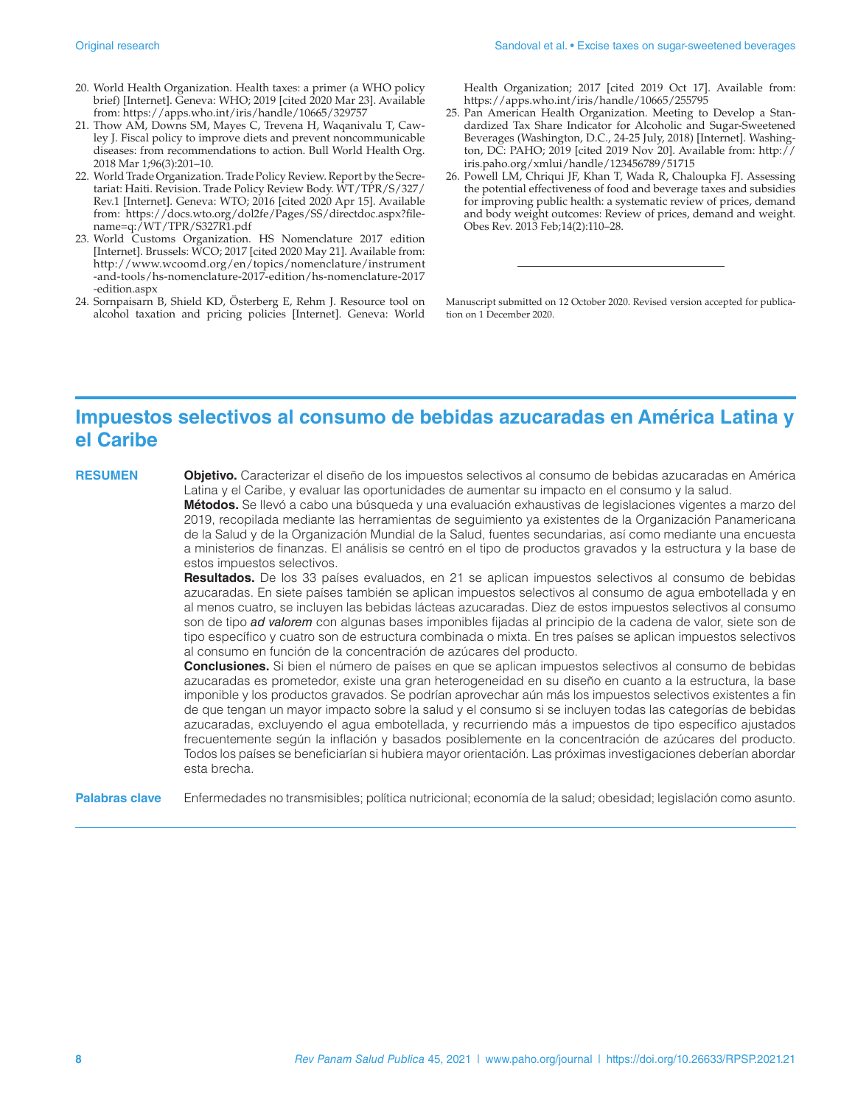- 20. World Health Organization. Health taxes: a primer (a WHO policy brief) [Internet]. Geneva: WHO; 2019 [cited 2020 Mar 23]. Available from:<https://apps.who.int/iris/handle/10665/329757>
- 21. Thow AM, Downs SM, Mayes C, Trevena H, Waqanivalu T, Cawley J. Fiscal policy to improve diets and prevent noncommunicable diseases: from recommendations to action. Bull World Health Org. 2018 Mar 1;96(3):201–10.
- 22. World Trade Organization. Trade Policy Review. Report by the Secretariat: Haiti. Revision. Trade Policy Review Body. WT/TPR/S/327/ Rev.1 [Internet]. Geneva: WTO; 2016 [cited 2020 Apr 15]. Available from: [https://docs.wto.org/dol2fe/Pages/SS/directdoc.aspx?file](https://docs.wto.org/dol2fe/Pages/SS/directdoc.aspx?filename=q:/WT/TPR/S327R1.pdf)[name=q:/WT/TPR/S327R1.pdf](https://docs.wto.org/dol2fe/Pages/SS/directdoc.aspx?filename=q:/WT/TPR/S327R1.pdf)
- 23. World Customs Organization. HS Nomenclature 2017 edition [Internet]. Brussels: WCO; 2017 [cited 2020 May 21]. Available from: [http://www.wcoomd.org/en/topics/nomenclature/instrument](http://www.wcoomd.org/en/topics/nomenclature/instrument-and-tools/hs-nomenclature-2017-edition/hs-nomenclature-2017-edition.aspx) [-and-tools/hs-nomenclature-2017-edition/hs-nomenclature-2017](http://www.wcoomd.org/en/topics/nomenclature/instrument-and-tools/hs-nomenclature-2017-edition/hs-nomenclature-2017-edition.aspx) [-edition.aspx](http://www.wcoomd.org/en/topics/nomenclature/instrument-and-tools/hs-nomenclature-2017-edition/hs-nomenclature-2017-edition.aspx)
- 24. Sornpaisarn B, Shield KD, Österberg E, Rehm J. Resource tool on alcohol taxation and pricing policies [Internet]. Geneva: World

Health Organization; 2017 [cited 2019 Oct 17]. Available from: <https://apps.who.int/iris/handle/10665/255795>

- 25. Pan American Health Organization. Meeting to Develop a Standardized Tax Share Indicator for Alcoholic and Sugar-Sweetened Beverages (Washington, D.C., 24-25 July, 2018) [Internet]. Washington, DC: PAHO; 2019 [cited 2019 Nov 20]. Available from: [http://](http://iris.paho.org/xmlui/handle/123456789/51715) [iris.paho.org/xmlui/handle/123456789/51715](http://iris.paho.org/xmlui/handle/123456789/51715)
- 26. Powell LM, Chriqui JF, Khan T, Wada R, Chaloupka FJ. Assessing the potential effectiveness of food and beverage taxes and subsidies for improving public health: a systematic review of prices, demand and body weight outcomes: Review of prices, demand and weight. Obes Rev. 2013 Feb;14(2):110–28.

Manuscript submitted on 12 October 2020. Revised version accepted for publication on 1 December 2020.

## **Impuestos selectivos al consumo de bebidas azucaradas en América Latina y el Caribe**

**RESUMEN Objetivo.** Caracterizar el diseño de los impuestos selectivos al consumo de bebidas azucaradas en América Latina y el Caribe, y evaluar las oportunidades de aumentar su impacto en el consumo y la salud.

> **Métodos.** Se llevó a cabo una búsqueda y una evaluación exhaustivas de legislaciones vigentes a marzo del 2019, recopilada mediante las herramientas de seguimiento ya existentes de la Organización Panamericana de la Salud y de la Organización Mundial de la Salud, fuentes secundarias, así como mediante una encuesta a ministerios de finanzas. El análisis se centró en el tipo de productos gravados y la estructura y la base de estos impuestos selectivos.

> **Resultados.** De los 33 países evaluados, en 21 se aplican impuestos selectivos al consumo de bebidas azucaradas. En siete países también se aplican impuestos selectivos al consumo de agua embotellada y en al menos cuatro, se incluyen las bebidas lácteas azucaradas. Diez de estos impuestos selectivos al consumo son de tipo *ad valorem* con algunas bases imponibles fijadas al principio de la cadena de valor, siete son de tipo específico y cuatro son de estructura combinada o mixta. En tres países se aplican impuestos selectivos al consumo en función de la concentración de azúcares del producto.

> **Conclusiones.** Si bien el número de países en que se aplican impuestos selectivos al consumo de bebidas azucaradas es prometedor, existe una gran heterogeneidad en su diseño en cuanto a la estructura, la base imponible y los productos gravados. Se podrían aprovechar aún más los impuestos selectivos existentes a fin de que tengan un mayor impacto sobre la salud y el consumo si se incluyen todas las categorías de bebidas azucaradas, excluyendo el agua embotellada, y recurriendo más a impuestos de tipo específico ajustados frecuentemente según la inflación y basados posiblemente en la concentración de azúcares del producto. Todos los países se beneficiarían si hubiera mayor orientación. Las próximas investigaciones deberían abordar esta brecha.

**Palabras clave** Enfermedades no transmisibles; política nutricional; economía de la salud; obesidad; legislación como asunto.